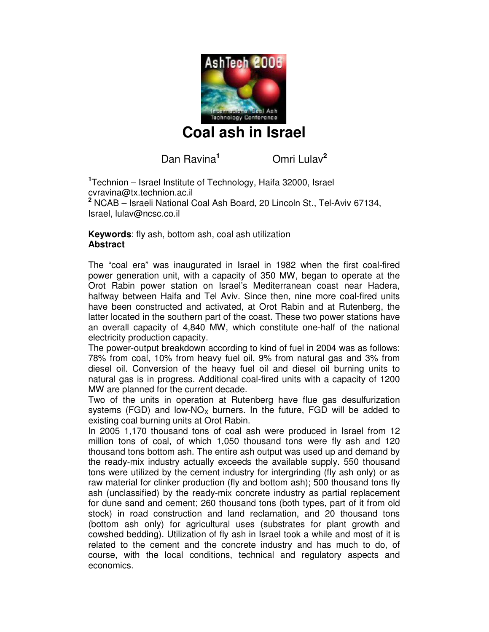

**Coal ash in Israel** 

Dan Ravina**<sup>1</sup>**

Omri Lulav**<sup>2</sup>**

**<sup>1</sup>**Technion – Israel Institute of Technology, Haifa 32000, Israel cvravina@tx.technion.ac.il **2** NCAB – Israeli National Coal Ash Board, 20 Lincoln St., Tel-Aviv 67134, Israel, lulav@ncsc.co.il

**Keywords**: fly ash, bottom ash, coal ash utilization **Abstract** 

The "coal era" was inaugurated in Israel in 1982 when the first coal-fired power generation unit, with a capacity of 350 MW, began to operate at the Orot Rabin power station on Israel's Mediterranean coast near Hadera, halfway between Haifa and Tel Aviv. Since then, nine more coal-fired units have been constructed and activated, at Orot Rabin and at Rutenberg, the latter located in the southern part of the coast. These two power stations have an overall capacity of 4,840 MW, which constitute one-half of the national electricity production capacity.

The power-output breakdown according to kind of fuel in 2004 was as follows: 78% from coal, 10% from heavy fuel oil, 9% from natural gas and 3% from diesel oil. Conversion of the heavy fuel oil and diesel oil burning units to natural gas is in progress. Additional coal-fired units with a capacity of 1200 MW are planned for the current decade.

Two of the units in operation at Rutenberg have flue gas desulfurization systems (FGD) and low-NO<sub>x</sub> burners. In the future, FGD will be added to existing coal burning units at Orot Rabin.

In 2005 1,170 thousand tons of coal ash were produced in Israel from 12 million tons of coal, of which 1,050 thousand tons were fly ash and 120 thousand tons bottom ash. The entire ash output was used up and demand by the ready-mix industry actually exceeds the available supply. 550 thousand tons were utilized by the cement industry for intergrinding (fly ash only) or as raw material for clinker production (fly and bottom ash); 500 thousand tons fly ash (unclassified) by the ready-mix concrete industry as partial replacement for dune sand and cement; 260 thousand tons (both types, part of it from old stock) in road construction and land reclamation, and 20 thousand tons (bottom ash only) for agricultural uses (substrates for plant growth and cowshed bedding). Utilization of fly ash in Israel took a while and most of it is related to the cement and the concrete industry and has much to do, of course, with the local conditions, technical and regulatory aspects and economics.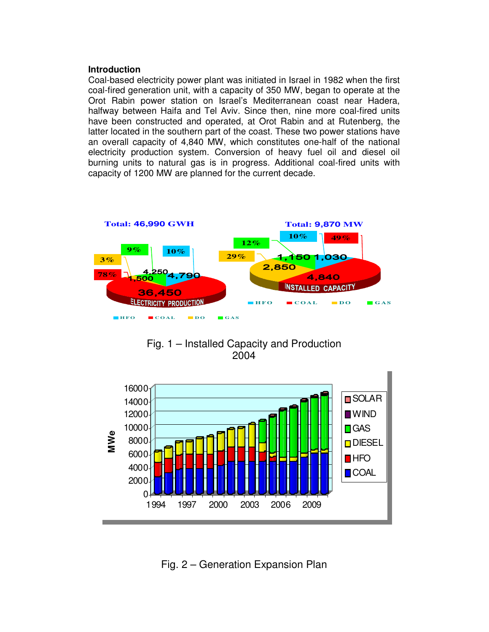#### **Introduction**

Coal-based electricity power plant was initiated in Israel in 1982 when the first coal-fired generation unit, with a capacity of 350 MW, began to operate at the Orot Rabin power station on Israel's Mediterranean coast near Hadera, halfway between Haifa and Tel Aviv. Since then, nine more coal-fired units have been constructed and operated, at Orot Rabin and at Rutenberg, the latter located in the southern part of the coast. These two power stations have an overall capacity of 4,840 MW, which constitutes one-half of the national electricity production system. Conversion of heavy fuel oil and diesel oil burning units to natural gas is in progress. Additional coal-fired units with capacity of 1200 MW are planned for the current decade.



Fig. 1 – Installed Capacity and Production 2004



Fig. 2 – Generation Expansion Plan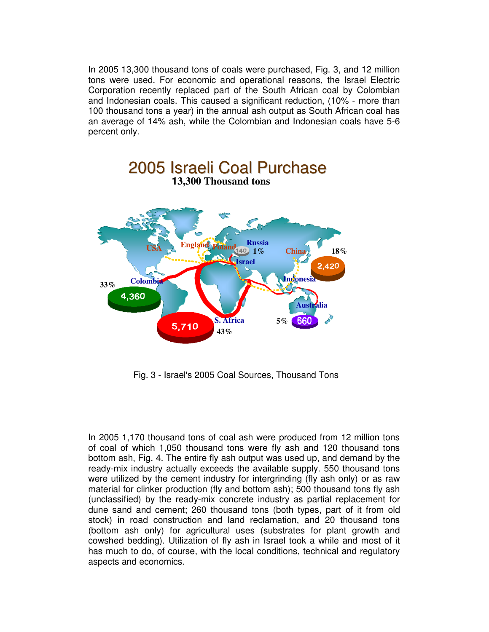In 2005 13,300 thousand tons of coals were purchased, Fig. 3, and 12 million tons were used. For economic and operational reasons, the Israel Electric Corporation recently replaced part of the South African coal by Colombian and Indonesian coals. This caused a significant reduction, (10% - more than 100 thousand tons a year) in the annual ash output as South African coal has an average of 14% ash, while the Colombian and Indonesian coals have 5-6 percent only.



Fig. 3 - Israel's 2005 Coal Sources, Thousand Tons

In 2005 1,170 thousand tons of coal ash were produced from 12 million tons of coal of which 1,050 thousand tons were fly ash and 120 thousand tons bottom ash, Fig. 4. The entire fly ash output was used up, and demand by the ready-mix industry actually exceeds the available supply. 550 thousand tons were utilized by the cement industry for intergrinding (fly ash only) or as raw material for clinker production (fly and bottom ash); 500 thousand tons fly ash (unclassified) by the ready-mix concrete industry as partial replacement for dune sand and cement; 260 thousand tons (both types, part of it from old stock) in road construction and land reclamation, and 20 thousand tons (bottom ash only) for agricultural uses (substrates for plant growth and cowshed bedding). Utilization of fly ash in Israel took a while and most of it has much to do, of course, with the local conditions, technical and regulatory aspects and economics.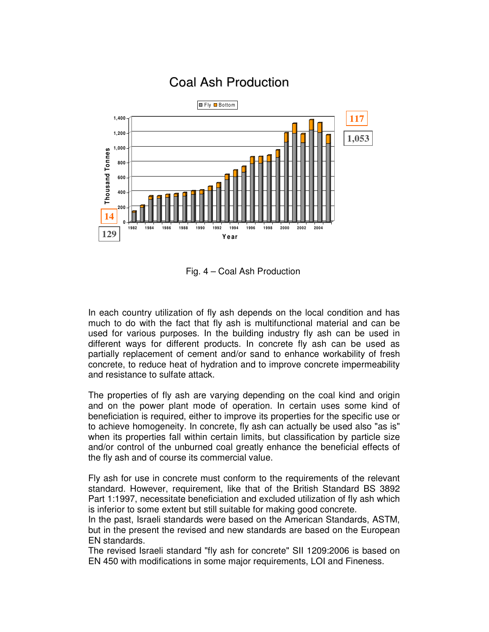

## **Coal Ash Production**

Fig. 4 – Coal Ash Production

In each country utilization of fly ash depends on the local condition and has much to do with the fact that fly ash is multifunctional material and can be used for various purposes. In the building industry fly ash can be used in different ways for different products. In concrete fly ash can be used as partially replacement of cement and/or sand to enhance workability of fresh concrete, to reduce heat of hydration and to improve concrete impermeability and resistance to sulfate attack.

The properties of fly ash are varying depending on the coal kind and origin and on the power plant mode of operation. In certain uses some kind of beneficiation is required, either to improve its properties for the specific use or to achieve homogeneity. In concrete, fly ash can actually be used also "as is" when its properties fall within certain limits, but classification by particle size and/or control of the unburned coal greatly enhance the beneficial effects of the fly ash and of course its commercial value.

Fly ash for use in concrete must conform to the requirements of the relevant standard. However, requirement, like that of the British Standard BS 3892 Part 1:1997, necessitate beneficiation and excluded utilization of fly ash which is inferior to some extent but still suitable for making good concrete.

In the past, Israeli standards were based on the American Standards, ASTM, but in the present the revised and new standards are based on the European EN standards.

The revised Israeli standard "fly ash for concrete" SII 1209:2006 is based on EN 450 with modifications in some major requirements, LOI and Fineness.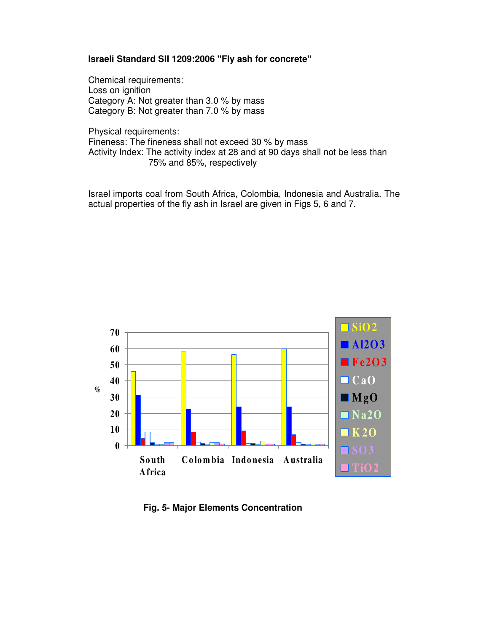#### **Israeli Standard SII 1209:2006 "Fly ash for concrete"**

Chemical requirements: Loss on ignition Category A: Not greater than 3.0 % by mass Category B: Not greater than 7.0 % by mass

Physical requirements: Fineness: The fineness shall not exceed 30 % by mass Activity Index: The activity index at 28 and at 90 days shall not be less than 75% and 85%, respectively

Israel imports coal from South Africa, Colombia, Indonesia and Australia. The actual properties of the fly ash in Israel are given in Figs 5, 6 and 7.



 **Fig. 5- Major Elements Concentration**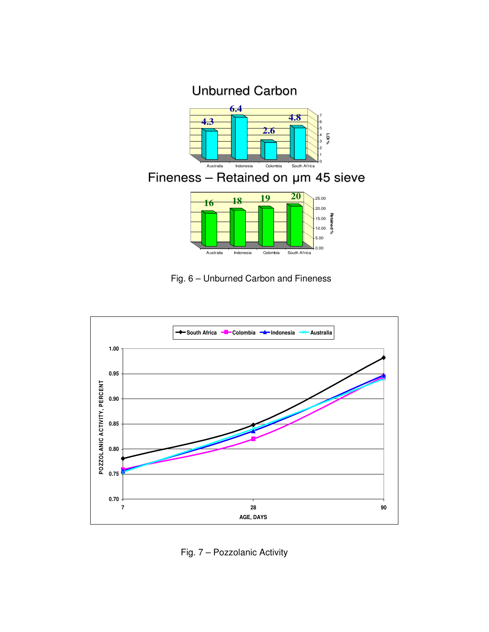## Unburned Carbon



## Fineness – Retained on µm 45 sieve



### Fig. 6 – Unburned Carbon and Fineness



Fig. 7 – Pozzolanic Activity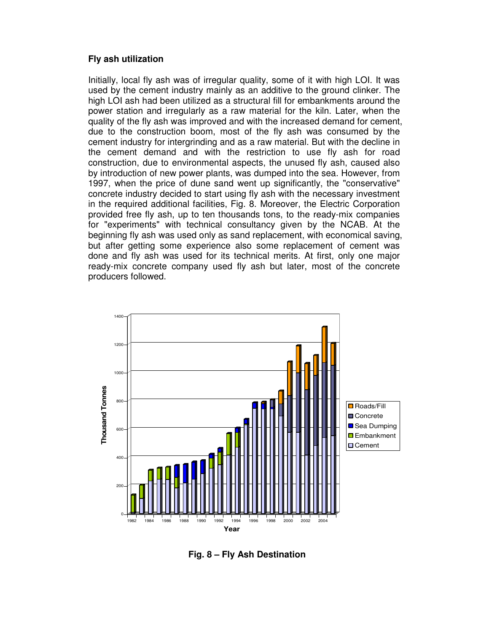#### **Fly ash utilization**

Initially, local fly ash was of irregular quality, some of it with high LOI. It was used by the cement industry mainly as an additive to the ground clinker. The high LOI ash had been utilized as a structural fill for embankments around the power station and irregularly as a raw material for the kiln. Later, when the quality of the fly ash was improved and with the increased demand for cement, due to the construction boom, most of the fly ash was consumed by the cement industry for intergrinding and as a raw material. But with the decline in the cement demand and with the restriction to use fly ash for road construction, due to environmental aspects, the unused fly ash, caused also by introduction of new power plants, was dumped into the sea. However, from 1997, when the price of dune sand went up significantly, the "conservative" concrete industry decided to start using fly ash with the necessary investment in the required additional facilities, Fig. 8. Moreover, the Electric Corporation provided free fly ash, up to ten thousands tons, to the ready-mix companies for "experiments" with technical consultancy given by the NCAB. At the beginning fly ash was used only as sand replacement, with economical saving, but after getting some experience also some replacement of cement was done and fly ash was used for its technical merits. At first, only one major ready-mix concrete company used fly ash but later, most of the concrete producers followed.



 **Fig. 8 – Fly Ash Destination**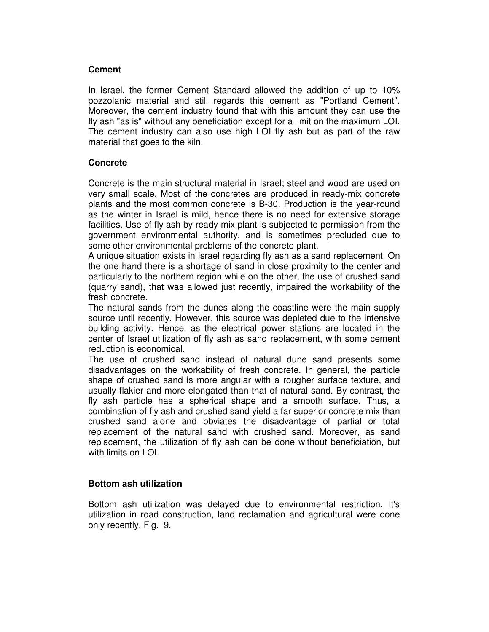#### **Cement**

In Israel, the former Cement Standard allowed the addition of up to 10% pozzolanic material and still regards this cement as "Portland Cement". Moreover, the cement industry found that with this amount they can use the fly ash "as is" without any beneficiation except for a limit on the maximum LOI. The cement industry can also use high LOI fly ash but as part of the raw material that goes to the kiln.

#### **Concrete**

Concrete is the main structural material in Israel; steel and wood are used on very small scale. Most of the concretes are produced in ready-mix concrete plants and the most common concrete is B-30. Production is the year-round as the winter in Israel is mild, hence there is no need for extensive storage facilities. Use of fly ash by ready-mix plant is subjected to permission from the government environmental authority, and is sometimes precluded due to some other environmental problems of the concrete plant.

A unique situation exists in Israel regarding fly ash as a sand replacement. On the one hand there is a shortage of sand in close proximity to the center and particularly to the northern region while on the other, the use of crushed sand (quarry sand), that was allowed just recently, impaired the workability of the fresh concrete.

The natural sands from the dunes along the coastline were the main supply source until recently. However, this source was depleted due to the intensive building activity. Hence, as the electrical power stations are located in the center of Israel utilization of fly ash as sand replacement, with some cement reduction is economical.

The use of crushed sand instead of natural dune sand presents some disadvantages on the workability of fresh concrete. In general, the particle shape of crushed sand is more angular with a rougher surface texture, and usually flakier and more elongated than that of natural sand. By contrast, the fly ash particle has a spherical shape and a smooth surface. Thus, a combination of fly ash and crushed sand yield a far superior concrete mix than crushed sand alone and obviates the disadvantage of partial or total replacement of the natural sand with crushed sand. Moreover, as sand replacement, the utilization of fly ash can be done without beneficiation, but with limits on LOI.

#### **Bottom ash utilization**

Bottom ash utilization was delayed due to environmental restriction. It's utilization in road construction, land reclamation and agricultural were done only recently, Fig. 9.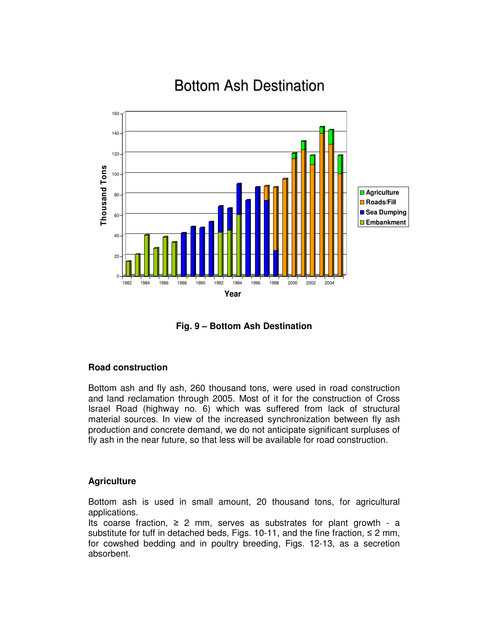# Bottom Ash Destination



**Fig. 9 – Bottom Ash Destination**

#### **Road construction**

Bottom ash and fly ash, 260 thousand tons, were used in road construction and land reclamation through 2005. Most of it for the construction of Cross Israel Road (highway no. 6) which was suffered from lack of structural material sources. In view of the increased synchronization between fly ash production and concrete demand, we do not anticipate significant surpluses of fly ash in the near future, so that less will be available for road construction.

#### **Agriculture**

Bottom ash is used in small amount, 20 thousand tons, for agricultural applications.

Its coarse fraction,  $\geq 2$  mm, serves as substrates for plant growth - a substitute for tuff in detached beds, Figs. 10-11, and the fine fraction,  $\leq 2$  mm, for cowshed bedding and in poultry breeding, Figs. 12-13, as a secretion absorbent.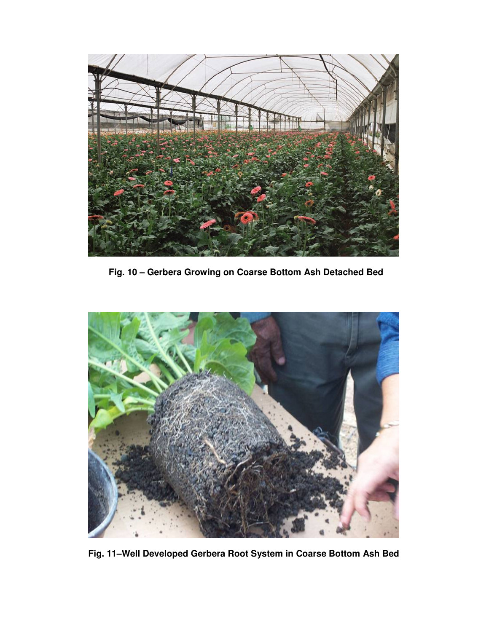

**Fig. 10 – Gerbera Growing on Coarse Bottom Ash Detached Bed** 



**Fig. 11–Well Developed Gerbera Root System in Coarse Bottom Ash Bed**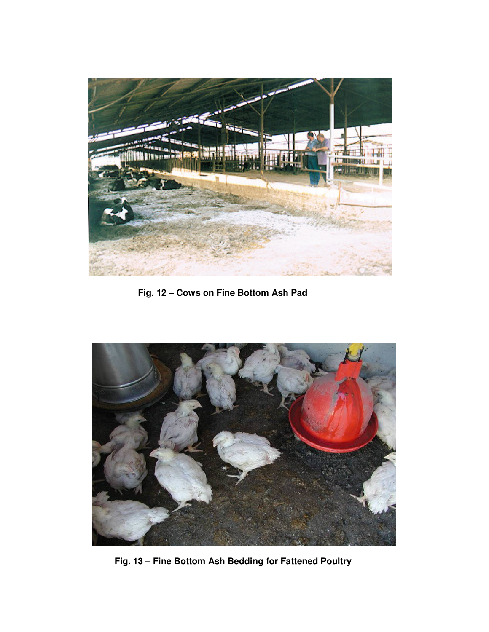

**Fig. 12 – Cows on Fine Bottom Ash Pad** 



**Fig. 13 – Fine Bottom Ash Bedding for Fattened Poultry**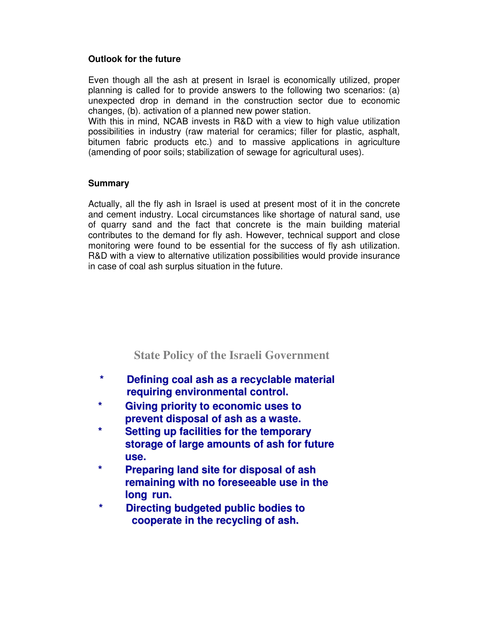#### **Outlook for the future**

Even though all the ash at present in Israel is economically utilized, proper planning is called for to provide answers to the following two scenarios: (a) unexpected drop in demand in the construction sector due to economic changes, (b). activation of a planned new power station.

With this in mind, NCAB invests in R&D with a view to high value utilization possibilities in industry (raw material for ceramics; filler for plastic, asphalt, bitumen fabric products etc.) and to massive applications in agriculture (amending of poor soils; stabilization of sewage for agricultural uses).

#### **Summary**

Actually, all the fly ash in Israel is used at present most of it in the concrete and cement industry. Local circumstances like shortage of natural sand, use of quarry sand and the fact that concrete is the main building material contributes to the demand for fly ash. However, technical support and close monitoring were found to be essential for the success of fly ash utilization. R&D with a view to alternative utilization possibilities would provide insurance in case of coal ash surplus situation in the future.

### **State Policy of the Israeli Government**

- **\* Defining coal ash as a recyclable material requiring environmental control.**
- **\* Giving priority to economic uses to prevent disposal of ash as a waste.**
- **\* Setting up facilities for the temporary storage of large amounts of ash for future use.**
- **\* Preparing land site for disposal of ash remaining with no foreseeable use in the long run.**
- **\* Directing budgeted public bodies to cooperate in the recycling of ash.**